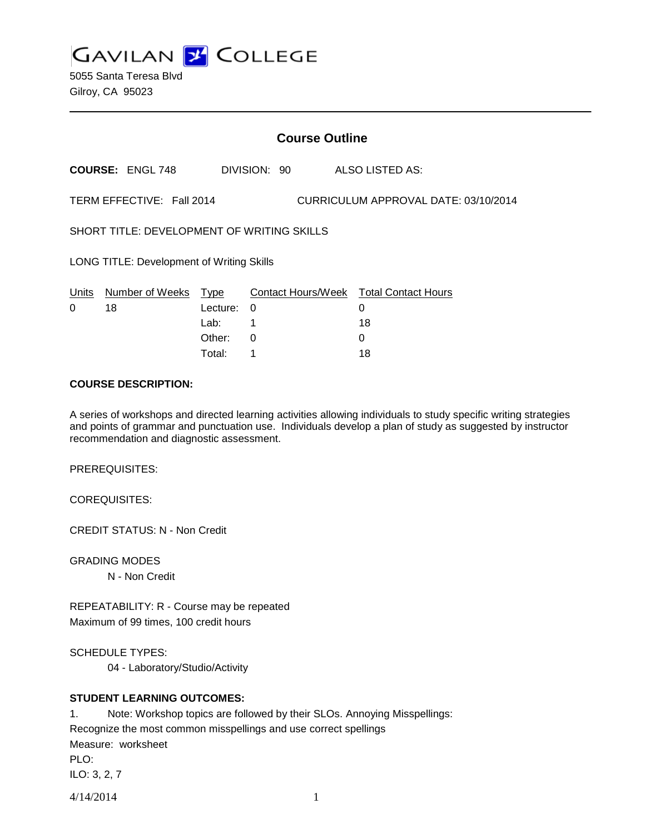**GAVILAN Z COLLEGE** 

5055 Santa Teresa Blvd Gilroy, CA 95023

|                                                                   | <b>Course Outline</b>   |          |              |  |                                        |  |
|-------------------------------------------------------------------|-------------------------|----------|--------------|--|----------------------------------------|--|
|                                                                   | <b>COURSE: ENGL 748</b> |          | DIVISION: 90 |  | ALSO LISTED AS:                        |  |
| TERM EFFECTIVE: Fall 2014<br>CURRICULUM APPROVAL DATE: 03/10/2014 |                         |          |              |  |                                        |  |
| SHORT TITLE: DEVELOPMENT OF WRITING SKILLS                        |                         |          |              |  |                                        |  |
| LONG TITLE: Development of Writing Skills                         |                         |          |              |  |                                        |  |
| Units                                                             | Number of Weeks Type    |          |              |  | Contact Hours/Week Total Contact Hours |  |
| 0                                                                 | 18                      | Lecture: | 0            |  | 0                                      |  |
|                                                                   |                         | Lab: .   | 1            |  | 18                                     |  |
|                                                                   |                         | Other:   | $\Omega$     |  | 0                                      |  |
|                                                                   |                         | Total:   |              |  | 18                                     |  |

#### **COURSE DESCRIPTION:**

A series of workshops and directed learning activities allowing individuals to study specific writing strategies and points of grammar and punctuation use. Individuals develop a plan of study as suggested by instructor recommendation and diagnostic assessment.

PREREQUISITES:

COREQUISITES:

CREDIT STATUS: N - Non Credit

GRADING MODES N - Non Credit

REPEATABILITY: R - Course may be repeated Maximum of 99 times, 100 credit hours

SCHEDULE TYPES:

04 - Laboratory/Studio/Activity

# **STUDENT LEARNING OUTCOMES:**

4/14/2014 1 1. Note: Workshop topics are followed by their SLOs. Annoying Misspellings: Recognize the most common misspellings and use correct spellings Measure: worksheet PLO: ILO: 3, 2, 7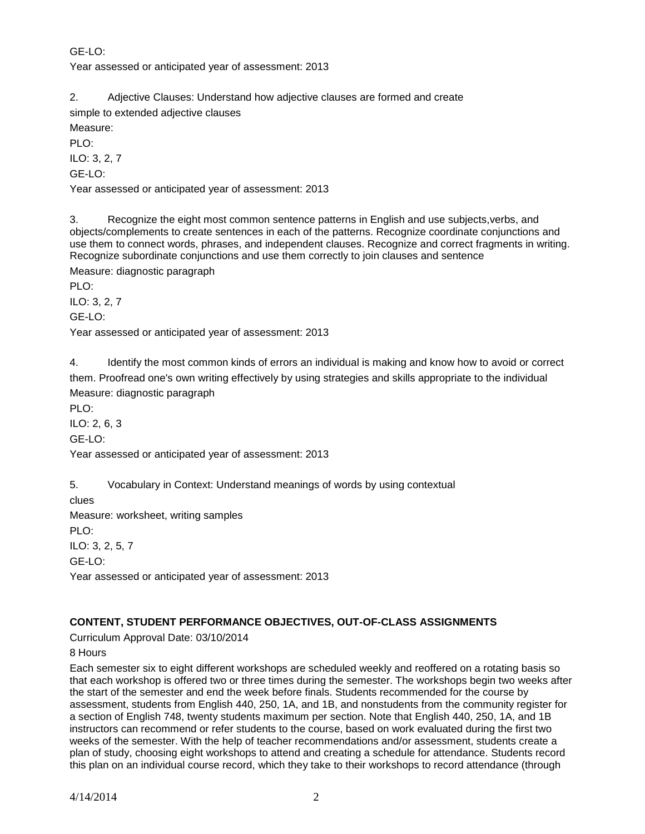# GE-LO: Year assessed or anticipated year of assessment: 2013

2. Adjective Clauses: Understand how adjective clauses are formed and create

simple to extended adjective clauses

Measure:

 $PIO:$ 

ILO: 3, 2, 7

GE-LO:

Year assessed or anticipated year of assessment: 2013

3. Recognize the eight most common sentence patterns in English and use subjects,verbs, and objects/complements to create sentences in each of the patterns. Recognize coordinate conjunctions and use them to connect words, phrases, and independent clauses. Recognize and correct fragments in writing. Recognize subordinate conjunctions and use them correctly to join clauses and sentence

Measure: diagnostic paragraph

PLO:

ILO: 3, 2, 7

GE-LO:

Year assessed or anticipated year of assessment: 2013

4. Identify the most common kinds of errors an individual is making and know how to avoid or correct them. Proofread one's own writing effectively by using strategies and skills appropriate to the individual Measure: diagnostic paragraph

PLO:

ILO: 2, 6, 3

GE-LO:

Year assessed or anticipated year of assessment: 2013

5. Vocabulary in Context: Understand meanings of words by using contextual

clues

Measure: worksheet, writing samples

PLO:

ILO: 3, 2, 5, 7

GE-LO:

Year assessed or anticipated year of assessment: 2013

# **CONTENT, STUDENT PERFORMANCE OBJECTIVES, OUT-OF-CLASS ASSIGNMENTS**

Curriculum Approval Date: 03/10/2014

8 Hours

Each semester six to eight different workshops are scheduled weekly and reoffered on a rotating basis so that each workshop is offered two or three times during the semester. The workshops begin two weeks after the start of the semester and end the week before finals. Students recommended for the course by assessment, students from English 440, 250, 1A, and 1B, and nonstudents from the community register for a section of English 748, twenty students maximum per section. Note that English 440, 250, 1A, and 1B instructors can recommend or refer students to the course, based on work evaluated during the first two weeks of the semester. With the help of teacher recommendations and/or assessment, students create a plan of study, choosing eight workshops to attend and creating a schedule for attendance. Students record this plan on an individual course record, which they take to their workshops to record attendance (through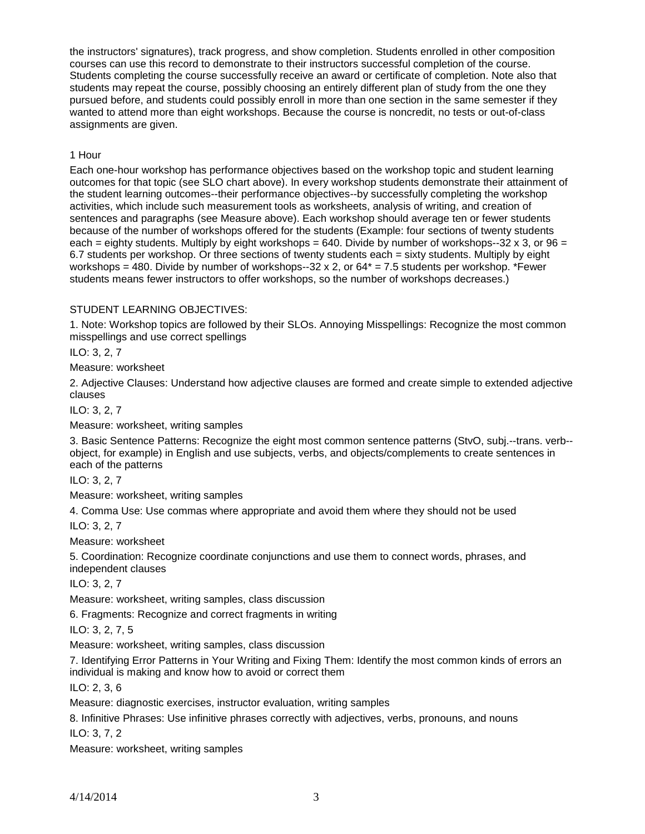the instructors' signatures), track progress, and show completion. Students enrolled in other composition courses can use this record to demonstrate to their instructors successful completion of the course. Students completing the course successfully receive an award or certificate of completion. Note also that students may repeat the course, possibly choosing an entirely different plan of study from the one they pursued before, and students could possibly enroll in more than one section in the same semester if they wanted to attend more than eight workshops. Because the course is noncredit, no tests or out-of-class assignments are given.

### 1 Hour

Each one-hour workshop has performance objectives based on the workshop topic and student learning outcomes for that topic (see SLO chart above). In every workshop students demonstrate their attainment of the student learning outcomes--their performance objectives--by successfully completing the workshop activities, which include such measurement tools as worksheets, analysis of writing, and creation of sentences and paragraphs (see Measure above). Each workshop should average ten or fewer students because of the number of workshops offered for the students (Example: four sections of twenty students each = eighty students. Multiply by eight workshops = 640. Divide by number of workshops--32 x 3, or  $96 =$ 6.7 students per workshop. Or three sections of twenty students each = sixty students. Multiply by eight workshops = 480. Divide by number of workshops--32 x 2, or  $64*$  = 7.5 students per workshop. \*Fewer students means fewer instructors to offer workshops, so the number of workshops decreases.)

# STUDENT LEARNING OBJECTIVES:

1. Note: Workshop topics are followed by their SLOs. Annoying Misspellings: Recognize the most common misspellings and use correct spellings

ILO: 3, 2, 7

Measure: worksheet

2. Adjective Clauses: Understand how adjective clauses are formed and create simple to extended adjective clauses

ILO: 3, 2, 7

Measure: worksheet, writing samples

3. Basic Sentence Patterns: Recognize the eight most common sentence patterns (StvO, subj.--trans. verb- object, for example) in English and use subjects, verbs, and objects/complements to create sentences in each of the patterns

ILO: 3, 2, 7

Measure: worksheet, writing samples

4. Comma Use: Use commas where appropriate and avoid them where they should not be used

ILO: 3, 2, 7

Measure: worksheet

5. Coordination: Recognize coordinate conjunctions and use them to connect words, phrases, and independent clauses

ILO: 3, 2, 7

Measure: worksheet, writing samples, class discussion

6. Fragments: Recognize and correct fragments in writing

ILO: 3, 2, 7, 5

Measure: worksheet, writing samples, class discussion

7. Identifying Error Patterns in Your Writing and Fixing Them: Identify the most common kinds of errors an individual is making and know how to avoid or correct them

ILO: 2, 3, 6

Measure: diagnostic exercises, instructor evaluation, writing samples

8. Infinitive Phrases: Use infinitive phrases correctly with adjectives, verbs, pronouns, and nouns

ILO: 3, 7, 2

Measure: worksheet, writing samples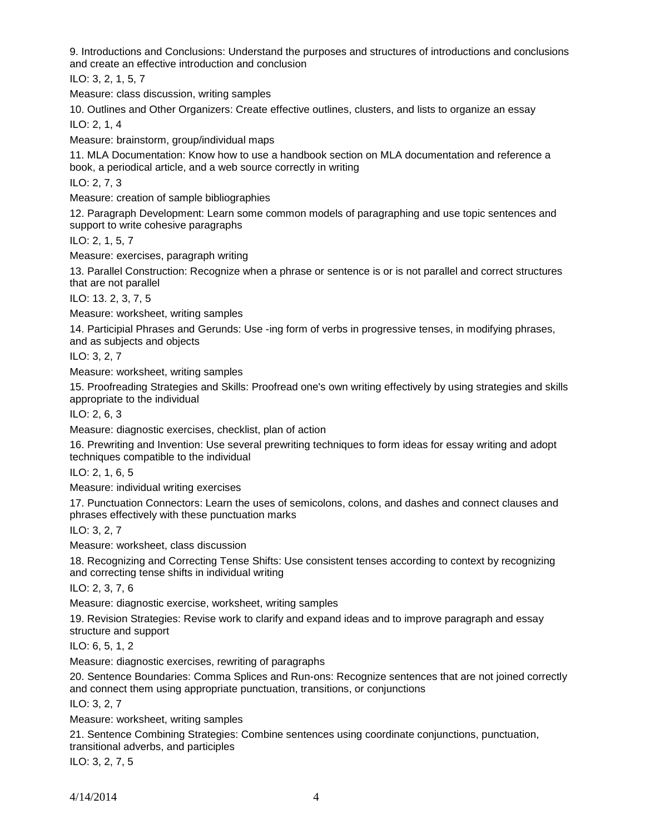9. Introductions and Conclusions: Understand the purposes and structures of introductions and conclusions and create an effective introduction and conclusion

ILO: 3, 2, 1, 5, 7

Measure: class discussion, writing samples

10. Outlines and Other Organizers: Create effective outlines, clusters, and lists to organize an essay

ILO: 2, 1, 4

Measure: brainstorm, group/individual maps

11. MLA Documentation: Know how to use a handbook section on MLA documentation and reference a book, a periodical article, and a web source correctly in writing

ILO: 2, 7, 3

Measure: creation of sample bibliographies

12. Paragraph Development: Learn some common models of paragraphing and use topic sentences and support to write cohesive paragraphs

ILO: 2, 1, 5, 7

Measure: exercises, paragraph writing

13. Parallel Construction: Recognize when a phrase or sentence is or is not parallel and correct structures that are not parallel

ILO: 13. 2, 3, 7, 5

Measure: worksheet, writing samples

14. Participial Phrases and Gerunds: Use -ing form of verbs in progressive tenses, in modifying phrases, and as subjects and objects

ILO: 3, 2, 7

Measure: worksheet, writing samples

15. Proofreading Strategies and Skills: Proofread one's own writing effectively by using strategies and skills appropriate to the individual

ILO: 2, 6, 3

Measure: diagnostic exercises, checklist, plan of action

16. Prewriting and Invention: Use several prewriting techniques to form ideas for essay writing and adopt techniques compatible to the individual

ILO: 2, 1, 6, 5

Measure: individual writing exercises

17. Punctuation Connectors: Learn the uses of semicolons, colons, and dashes and connect clauses and phrases effectively with these punctuation marks

ILO: 3, 2, 7

Measure: worksheet, class discussion

18. Recognizing and Correcting Tense Shifts: Use consistent tenses according to context by recognizing and correcting tense shifts in individual writing

ILO: 2, 3, 7, 6

Measure: diagnostic exercise, worksheet, writing samples

19. Revision Strategies: Revise work to clarify and expand ideas and to improve paragraph and essay structure and support

ILO: 6, 5, 1, 2

Measure: diagnostic exercises, rewriting of paragraphs

20. Sentence Boundaries: Comma Splices and Run-ons: Recognize sentences that are not joined correctly and connect them using appropriate punctuation, transitions, or conjunctions

ILO: 3, 2, 7

Measure: worksheet, writing samples

21. Sentence Combining Strategies: Combine sentences using coordinate conjunctions, punctuation, transitional adverbs, and participles

ILO: 3, 2, 7, 5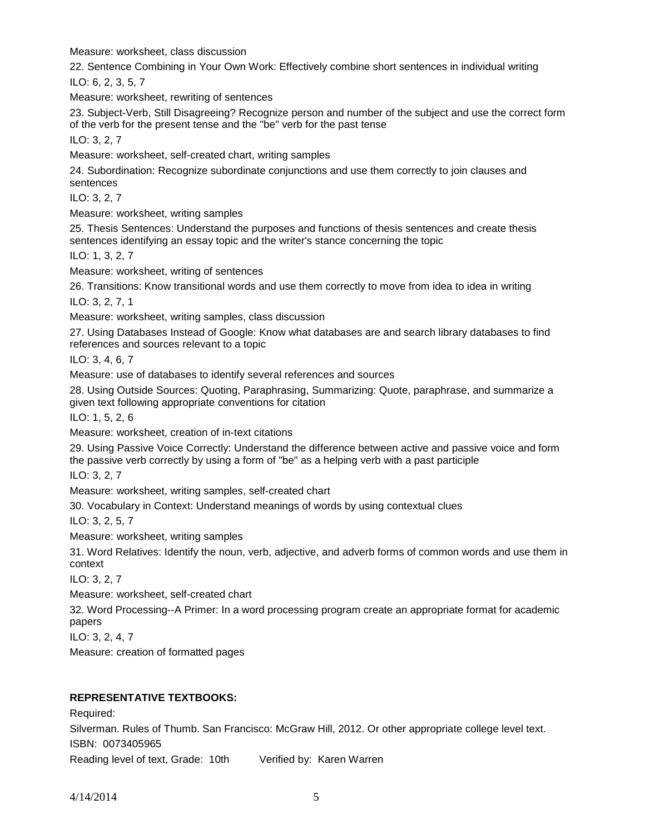Measure: worksheet, class discussion

22. Sentence Combining in Your Own Work: Effectively combine short sentences in individual writing ILO: 6, 2, 3, 5, 7

Measure: worksheet, rewriting of sentences

23. Subject-Verb, Still Disagreeing? Recognize person and number of the subject and use the correct form of the verb for the present tense and the "be" verb for the past tense

ILO: 3, 2, 7

Measure: worksheet, self-created chart, writing samples

24. Subordination: Recognize subordinate conjunctions and use them correctly to join clauses and sentences

ILO: 3, 2, 7

Measure: worksheet, writing samples

25. Thesis Sentences: Understand the purposes and functions of thesis sentences and create thesis sentences identifying an essay topic and the writer's stance concerning the topic

ILO: 1, 3, 2, 7

Measure: worksheet, writing of sentences

26. Transitions: Know transitional words and use them correctly to move from idea to idea in writing

ILO: 3, 2, 7, 1

Measure: worksheet, writing samples, class discussion

27. Using Databases Instead of Google: Know what databases are and search library databases to find references and sources relevant to a topic

ILO: 3, 4, 6, 7

Measure: use of databases to identify several references and sources

28. Using Outside Sources: Quoting, Paraphrasing, Summarizing: Quote, paraphrase, and summarize a given text following appropriate conventions for citation

ILO: 1, 5, 2, 6

Measure: worksheet, creation of in-text citations

29. Using Passive Voice Correctly: Understand the difference between active and passive voice and form the passive verb correctly by using a form of "be" as a helping verb with a past participle

ILO: 3, 2, 7

Measure: worksheet, writing samples, self-created chart

30. Vocabulary in Context: Understand meanings of words by using contextual clues

ILO: 3, 2, 5, 7

Measure: worksheet, writing samples

31. Word Relatives: Identify the noun, verb, adjective, and adverb forms of common words and use them in context

ILO: 3, 2, 7

Measure: worksheet, self-created chart

32. Word Processing--A Primer: In a word processing program create an appropriate format for academic papers

ILO: 3, 2, 4, 7

Measure: creation of formatted pages

# **REPRESENTATIVE TEXTBOOKS:**

Required: Silverman. Rules of Thumb. San Francisco: McGraw Hill, 2012. Or other appropriate college level text. ISBN: 0073405965

Reading level of text, Grade: 10th Verified by: Karen Warren